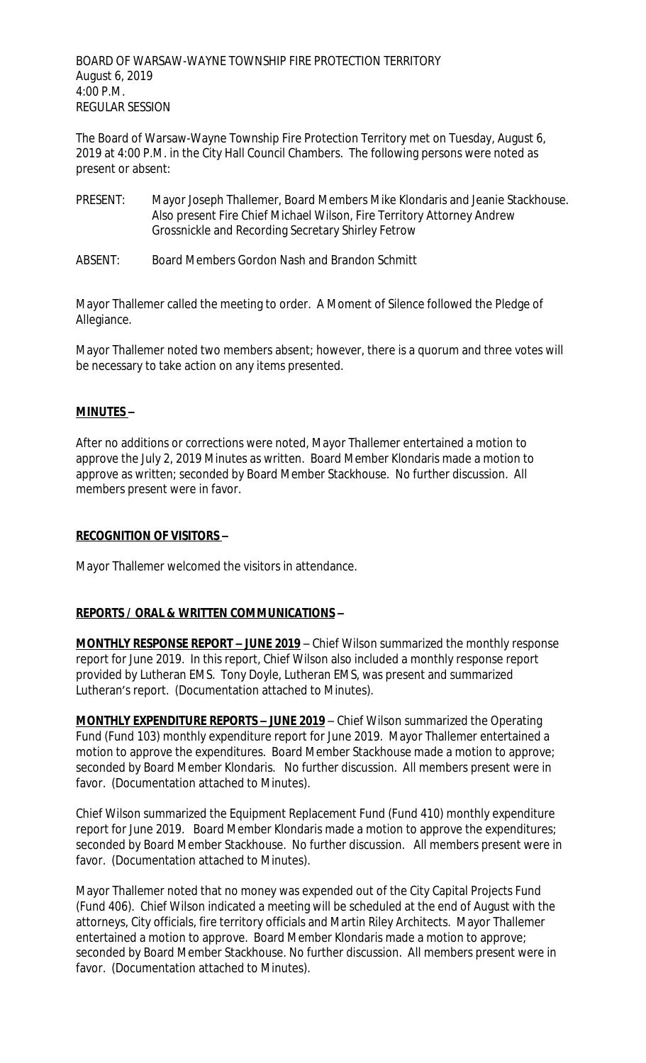BOARD OF WARSAW-WAYNE TOWNSHIP FIRE PROTECTION TERRITORY August 6, 2019 4:00 P.M. REGULAR SESSION

The Board of Warsaw-Wayne Township Fire Protection Territory met on Tuesday, August 6, 2019 at 4:00 P.M. in the City Hall Council Chambers. The following persons were noted as present or absent:

- PRESENT: Mayor Joseph Thallemer, Board Members Mike Klondaris and Jeanie Stackhouse. Also present Fire Chief Michael Wilson, Fire Territory Attorney Andrew Grossnickle and Recording Secretary Shirley Fetrow
- ABSENT: Board Members Gordon Nash and Brandon Schmitt

Mayor Thallemer called the meeting to order. A Moment of Silence followed the Pledge of Allegiance.

Mayor Thallemer noted two members absent; however, there is a quorum and three votes will be necessary to take action on any items presented.

### **MINUTES –**

After no additions or corrections were noted, Mayor Thallemer entertained a motion to approve the July 2, 2019 Minutes as written. Board Member Klondaris made a motion to approve as written; seconded by Board Member Stackhouse. No further discussion. All members present were in favor.

### **RECOGNITION OF VISITORS –**

Mayor Thallemer welcomed the visitors in attendance.

### **REPORTS / ORAL & WRITTEN COMMUNICATIONS –**

**MONTHLY RESPONSE REPORT – JUNE 2019** – Chief Wilson summarized the monthly response report for June 2019. In this report, Chief Wilson also included a monthly response report provided by Lutheran EMS. Tony Doyle, Lutheran EMS, was present and summarized Lutheran's report. (Documentation attached to Minutes).

**MONTHLY EXPENDITURE REPORTS – JUNE 2019** – Chief Wilson summarized the Operating Fund (Fund 103) monthly expenditure report for June 2019. Mayor Thallemer entertained a motion to approve the expenditures. Board Member Stackhouse made a motion to approve; seconded by Board Member Klondaris. No further discussion. All members present were in favor. (Documentation attached to Minutes).

Chief Wilson summarized the Equipment Replacement Fund (Fund 410) monthly expenditure report for June 2019. Board Member Klondaris made a motion to approve the expenditures; seconded by Board Member Stackhouse. No further discussion. All members present were in favor. (Documentation attached to Minutes).

Mayor Thallemer noted that no money was expended out of the City Capital Projects Fund (Fund 406). Chief Wilson indicated a meeting will be scheduled at the end of August with the attorneys, City officials, fire territory officials and Martin Riley Architects. Mayor Thallemer entertained a motion to approve. Board Member Klondaris made a motion to approve; seconded by Board Member Stackhouse. No further discussion. All members present were in favor. (Documentation attached to Minutes).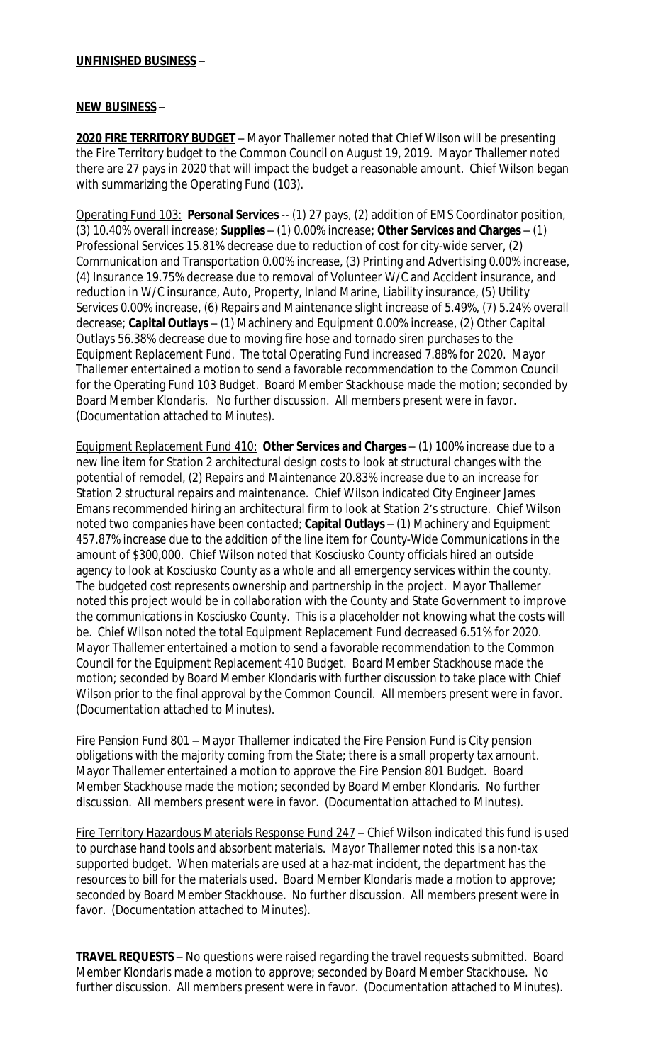## **UNFINISHED BUSINESS –**

### **NEW BUSINESS –**

**2020 FIRE TERRITORY BUDGET** – Mayor Thallemer noted that Chief Wilson will be presenting the Fire Territory budget to the Common Council on August 19, 2019. Mayor Thallemer noted there are 27 pays in 2020 that will impact the budget a reasonable amount. Chief Wilson began with summarizing the Operating Fund (103).

Operating Fund 103: **Personal Services** -- (1) 27 pays, (2) addition of EMS Coordinator position, (3) 10.40% overall increase; **Supplies** – (1) 0.00% increase; **Other Services and Charges** – (1) Professional Services 15.81% decrease due to reduction of cost for city-wide server, (2) Communication and Transportation 0.00% increase, (3) Printing and Advertising 0.00% increase, (4) Insurance 19.75% decrease due to removal of Volunteer W/C and Accident insurance, and reduction in W/C insurance, Auto, Property, Inland Marine, Liability insurance, (5) Utility Services 0.00% increase, (6) Repairs and Maintenance slight increase of 5.49%, (7) 5.24% overall decrease; **Capital Outlays** – (1) Machinery and Equipment 0.00% increase, (2) Other Capital Outlays 56.38% decrease due to moving fire hose and tornado siren purchases to the Equipment Replacement Fund. The total Operating Fund increased 7.88% for 2020. Mayor Thallemer entertained a motion to send a favorable recommendation to the Common Council for the Operating Fund 103 Budget. Board Member Stackhouse made the motion; seconded by Board Member Klondaris. No further discussion. All members present were in favor. (Documentation attached to Minutes).

Equipment Replacement Fund 410: **Other Services and Charges** – (1) 100% increase due to a new line item for Station 2 architectural design costs to look at structural changes with the potential of remodel, (2) Repairs and Maintenance 20.83% increase due to an increase for Station 2 structural repairs and maintenance. Chief Wilson indicated City Engineer James Emans recommended hiring an architectural firm to look at Station 2's structure. Chief Wilson noted two companies have been contacted; **Capital Outlays** – (1) Machinery and Equipment 457.87% increase due to the addition of the line item for County-Wide Communications in the amount of \$300,000. Chief Wilson noted that Kosciusko County officials hired an outside agency to look at Kosciusko County as a whole and all emergency services within the county. The budgeted cost represents ownership and partnership in the project. Mayor Thallemer noted this project would be in collaboration with the County and State Government to improve the communications in Kosciusko County. This is a placeholder not knowing what the costs will be. Chief Wilson noted the total Equipment Replacement Fund decreased 6.51% for 2020. Mayor Thallemer entertained a motion to send a favorable recommendation to the Common Council for the Equipment Replacement 410 Budget. Board Member Stackhouse made the motion; seconded by Board Member Klondaris with further discussion to take place with Chief Wilson prior to the final approval by the Common Council. All members present were in favor. (Documentation attached to Minutes).

Fire Pension Fund 801 – Mayor Thallemer indicated the Fire Pension Fund is City pension obligations with the majority coming from the State; there is a small property tax amount. Mayor Thallemer entertained a motion to approve the Fire Pension 801 Budget. Board Member Stackhouse made the motion; seconded by Board Member Klondaris. No further discussion. All members present were in favor. (Documentation attached to Minutes).

Fire Territory Hazardous Materials Response Fund 247 – Chief Wilson indicated this fund is used to purchase hand tools and absorbent materials. Mayor Thallemer noted this is a non-tax supported budget. When materials are used at a haz-mat incident, the department has the resources to bill for the materials used. Board Member Klondaris made a motion to approve; seconded by Board Member Stackhouse. No further discussion. All members present were in favor. (Documentation attached to Minutes).

**TRAVEL REQUESTS** – No questions were raised regarding the travel requests submitted. Board Member Klondaris made a motion to approve; seconded by Board Member Stackhouse. No further discussion. All members present were in favor. (Documentation attached to Minutes).